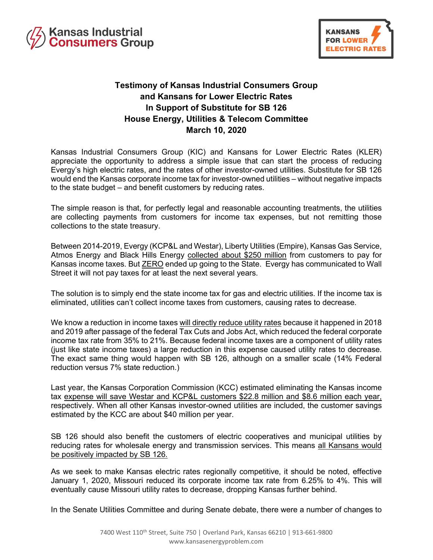



## **Testimony of Kansas Industrial Consumers Group and Kansans for Lower Electric Rates In Support of Substitute for SB 126 House Energy, Utilities & Telecom Committee March 10, 2020**

Kansas Industrial Consumers Group (KIC) and Kansans for Lower Electric Rates (KLER) appreciate the opportunity to address a simple issue that can start the process of reducing Evergy's high electric rates, and the rates of other investor-owned utilities. Substitute for SB 126 would end the Kansas corporate income tax for investor-owned utilities – without negative impacts to the state budget – and benefit customers by reducing rates.

The simple reason is that, for perfectly legal and reasonable accounting treatments, the utilities are collecting payments from customers for income tax expenses, but not remitting those collections to the state treasury.

Between 2014-2019, Evergy (KCP&L and Westar), Liberty Utilities (Empire), Kansas Gas Service, Atmos Energy and Black Hills Energy collected about \$250 million from customers to pay for Kansas income taxes. But **ZERO** ended up going to the State. Evergy has communicated to Wall Street it will not pay taxes for at least the next several years.

The solution is to simply end the state income tax for gas and electric utilities. If the income tax is eliminated, utilities can't collect income taxes from customers, causing rates to decrease.

We know a reduction in income taxes will directly reduce utility rates because it happened in 2018 and 2019 after passage of the federal Tax Cuts and Jobs Act, which reduced the federal corporate income tax rate from 35% to 21%. Because federal income taxes are a component of utility rates (just like state income taxes) a large reduction in this expense caused utility rates to decrease. The exact same thing would happen with SB 126, although on a smaller scale (14% Federal reduction versus 7% state reduction.)

Last year, the Kansas Corporation Commission (KCC) estimated eliminating the Kansas income tax expense will save Westar and KCP&L customers \$22.8 million and \$8.6 million each year, respectively. When all other Kansas investor-owned utilities are included, the customer savings estimated by the KCC are about \$40 million per year.

SB 126 should also benefit the customers of electric cooperatives and municipal utilities by reducing rates for wholesale energy and transmission services. This means all Kansans would be positively impacted by SB 126.

As we seek to make Kansas electric rates regionally competitive, it should be noted, effective January 1, 2020, Missouri reduced its corporate income tax rate from 6.25% to 4%. This will eventually cause Missouri utility rates to decrease, dropping Kansas further behind.

In the Senate Utilities Committee and during Senate debate, there were a number of changes to